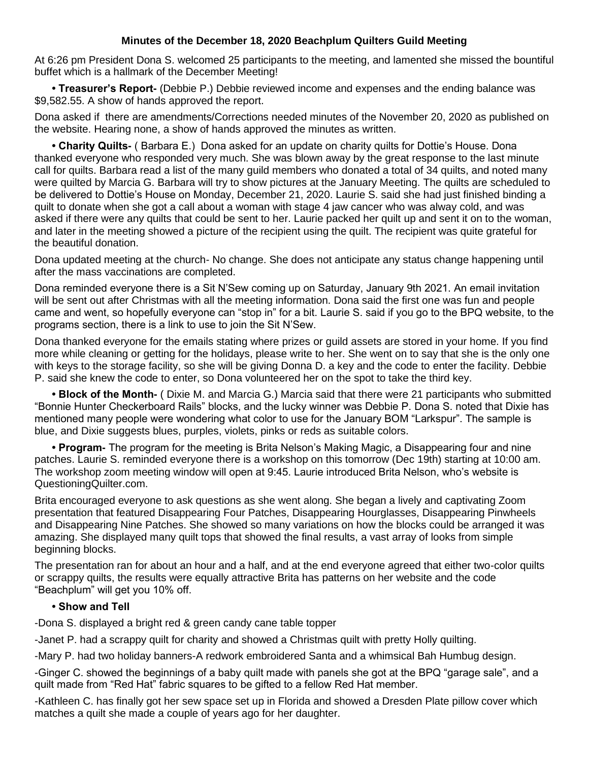## **Minutes of the December 18, 2020 Beachplum Quilters Guild Meeting**

At 6:26 pm President Dona S. welcomed 25 participants to the meeting, and lamented she missed the bountiful buffet which is a hallmark of the December Meeting!

**• Treasurer's Report-** (Debbie P.) Debbie reviewed income and expenses and the ending balance was \$9,582.55. A show of hands approved the report.

Dona asked if there are amendments/Corrections needed minutes of the November 20, 2020 as published on the website. Hearing none, a show of hands approved the minutes as written.

**• Charity Quilts-** ( Barbara E.) Dona asked for an update on charity quilts for Dottie's House. Dona thanked everyone who responded very much. She was blown away by the great response to the last minute call for quilts. Barbara read a list of the many guild members who donated a total of 34 quilts, and noted many were quilted by Marcia G. Barbara will try to show pictures at the January Meeting. The quilts are scheduled to be delivered to Dottie's House on Monday, December 21, 2020. Laurie S. said she had just finished binding a quilt to donate when she got a call about a woman with stage 4 jaw cancer who was alway cold, and was asked if there were any quilts that could be sent to her. Laurie packed her quilt up and sent it on to the woman, and later in the meeting showed a picture of the recipient using the quilt. The recipient was quite grateful for the beautiful donation.

Dona updated meeting at the church- No change. She does not anticipate any status change happening until after the mass vaccinations are completed.

Dona reminded everyone there is a Sit N'Sew coming up on Saturday, January 9th 2021. An email invitation will be sent out after Christmas with all the meeting information. Dona said the first one was fun and people came and went, so hopefully everyone can "stop in" for a bit. Laurie S. said if you go to the BPQ website, to the programs section, there is a link to use to join the Sit N'Sew.

Dona thanked everyone for the emails stating where prizes or guild assets are stored in your home. If you find more while cleaning or getting for the holidays, please write to her. She went on to say that she is the only one with keys to the storage facility, so she will be giving Donna D. a key and the code to enter the facility. Debbie P. said she knew the code to enter, so Dona volunteered her on the spot to take the third key.

**• Block of the Month-** ( Dixie M. and Marcia G.) Marcia said that there were 21 participants who submitted "Bonnie Hunter Checkerboard Rails" blocks, and the lucky winner was Debbie P. Dona S. noted that Dixie has mentioned many people were wondering what color to use for the January BOM "Larkspur". The sample is blue, and Dixie suggests blues, purples, violets, pinks or reds as suitable colors.

**• Program-** The program for the meeting is Brita Nelson's Making Magic, a Disappearing four and nine patches. Laurie S. reminded everyone there is a workshop on this tomorrow (Dec 19th) starting at 10:00 am. The workshop zoom meeting window will open at 9:45. Laurie introduced Brita Nelson, who's website is QuestioningQuilter.com.

Brita encouraged everyone to ask questions as she went along. She began a lively and captivating Zoom presentation that featured Disappearing Four Patches, Disappearing Hourglasses, Disappearing Pinwheels and Disappearing Nine Patches. She showed so many variations on how the blocks could be arranged it was amazing. She displayed many quilt tops that showed the final results, a vast array of looks from simple beginning blocks.

The presentation ran for about an hour and a half, and at the end everyone agreed that either two-color quilts or scrappy quilts, the results were equally attractive Brita has patterns on her website and the code "Beachplum" will get you 10% off.

## **• Show and Tell**

-Dona S. displayed a bright red & green candy cane table topper

-Janet P. had a scrappy quilt for charity and showed a Christmas quilt with pretty Holly quilting.

-Mary P. had two holiday banners-A redwork embroidered Santa and a whimsical Bah Humbug design.

-Ginger C. showed the beginnings of a baby quilt made with panels she got at the BPQ "garage sale", and a quilt made from "Red Hat" fabric squares to be gifted to a fellow Red Hat member.

-Kathleen C. has finally got her sew space set up in Florida and showed a Dresden Plate pillow cover which matches a quilt she made a couple of years ago for her daughter.